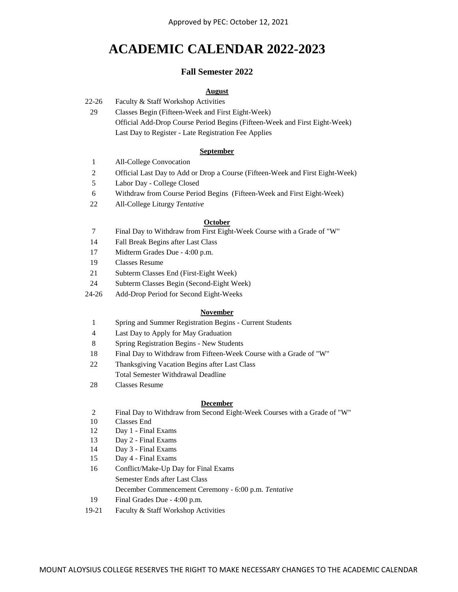# **ACADEMIC CALENDAR 2022-2023**

# **Fall Semester 2022**

# **August**

- 22-26 Faculty & Staff Workshop Activities
	- 29 Official Add-Drop Course Period Begins (Fifteen-Week and First Eight-Week) Last Day to Register - Late Registration Fee Applies Classes Begin (Fifteen-Week and First Eight-Week)

### **September**

- 1 All-College Convocation
- 2 Official Last Day to Add or Drop a Course (Fifteen-Week and First Eight-Week)
- 5 Labor Day - College Closed
- 6 Withdraw from Course Period Begins (Fifteen-Week and First Eight-Week)
- 22 All-College Liturgy *Tentative*

### **October**

- 7 Final Day to Withdraw from First Eight-Week Course with a Grade of "W"
- 14 Fall Break Begins after Last Class
- 17 Midterm Grades Due 4:00 p.m.
- 19 Classes Resume
- 21 Subterm Classes End (First-Eight Week)
- 24 Subterm Classes Begin (Second-Eight Week)
- 24-26 Add-Drop Period for Second Eight-Weeks

#### **November**

- 1 Spring and Summer Registration Begins Current Students
- 4 Last Day to Apply for May Graduation
- 8 Spring Registration Begins New Students
- 18 Final Day to Withdraw from Fifteen-Week Course with a Grade of "W"
- 22 Thanksgiving Vacation Begins after Last Class
	- Total Semester Withdrawal Deadline
- 28 Classes Resume

### **December**

- 2 Final Day to Withdraw from Second Eight-Week Courses with a Grade of "W"
- 10 Classes End
- 12 Day 1 Final Exams
- 13 Day 2 Final Exams
- 14 Day 3 Final Exams
- 15 Day 4 Final Exams
- 16 Conflict/Make-Up Day for Final Exams Semester Ends after Last Class December Commencement Ceremony - 6:00 p.m. *Tentative*
- 19 Final Grades Due 4:00 p.m.
- 19-21 Faculty & Staff Workshop Activities